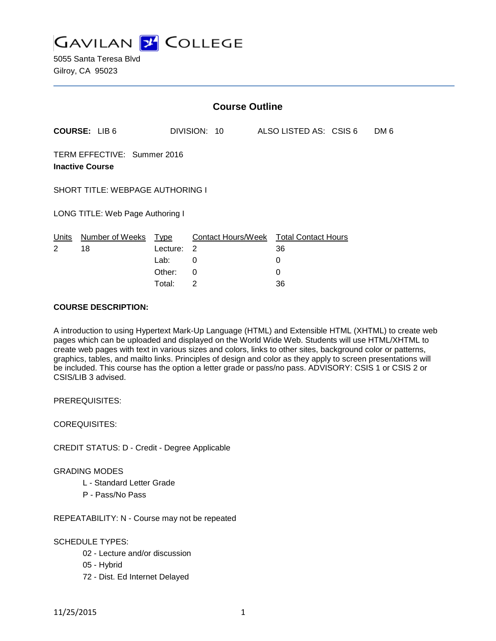

|                                                       | <b>Course Outline</b> |          |              |  |                                        |      |
|-------------------------------------------------------|-----------------------|----------|--------------|--|----------------------------------------|------|
|                                                       | <b>COURSE: LIB6</b>   |          | DIVISION: 10 |  | ALSO LISTED AS: CSIS 6                 | DM 6 |
| TERM EFFECTIVE: Summer 2016<br><b>Inactive Course</b> |                       |          |              |  |                                        |      |
| <b>SHORT TITLE: WEBPAGE AUTHORING I</b>               |                       |          |              |  |                                        |      |
| LONG TITLE: Web Page Authoring I                      |                       |          |              |  |                                        |      |
| Units                                                 | Number of Weeks Type  |          |              |  | Contact Hours/Week Total Contact Hours |      |
| 2                                                     | 18                    | Lecture: | 2            |  | 36                                     |      |
|                                                       |                       | Lab:     | 0            |  | 0                                      |      |
|                                                       |                       | Other:   | 0            |  | 0                                      |      |
|                                                       |                       | Total:   | 2            |  | 36                                     |      |

#### **COURSE DESCRIPTION:**

A introduction to using Hypertext Mark-Up Language (HTML) and Extensible HTML (XHTML) to create web pages which can be uploaded and displayed on the World Wide Web. Students will use HTML/XHTML to create web pages with text in various sizes and colors, links to other sites, background color or patterns, graphics, tables, and mailto links. Principles of design and color as they apply to screen presentations will be included. This course has the option a letter grade or pass/no pass. ADVISORY: CSIS 1 or CSIS 2 or CSIS/LIB 3 advised.

PREREQUISITES:

COREQUISITES:

CREDIT STATUS: D - Credit - Degree Applicable

# GRADING MODES

- L Standard Letter Grade
- P Pass/No Pass

REPEATABILITY: N - Course may not be repeated

## SCHEDULE TYPES:

- 02 Lecture and/or discussion
- 05 Hybrid
- 72 Dist. Ed Internet Delayed

11/25/2015 1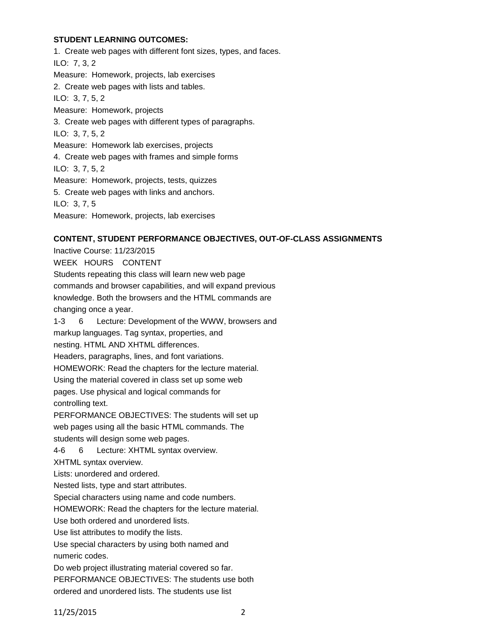# **STUDENT LEARNING OUTCOMES:**

1. Create web pages with different font sizes, types, and faces. ILO: 7, 3, 2 Measure: Homework, projects, lab exercises 2. Create web pages with lists and tables. ILO: 3, 7, 5, 2 Measure: Homework, projects 3. Create web pages with different types of paragraphs. ILO: 3, 7, 5, 2 Measure: Homework lab exercises, projects 4. Create web pages with frames and simple forms ILO: 3, 7, 5, 2 Measure: Homework, projects, tests, quizzes 5. Create web pages with links and anchors. ILO: 3, 7, 5 Measure: Homework, projects, lab exercises

# **CONTENT, STUDENT PERFORMANCE OBJECTIVES, OUT-OF-CLASS ASSIGNMENTS**

Inactive Course: 11/23/2015 WEEK HOURS CONTENT Students repeating this class will learn new web page commands and browser capabilities, and will expand previous knowledge. Both the browsers and the HTML commands are changing once a year. 1-3 6 Lecture: Development of the WWW, browsers and markup languages. Tag syntax, properties, and nesting. HTML AND XHTML differences. Headers, paragraphs, lines, and font variations. HOMEWORK: Read the chapters for the lecture material. Using the material covered in class set up some web pages. Use physical and logical commands for controlling text. PERFORMANCE OBJECTIVES: The students will set up web pages using all the basic HTML commands. The students will design some web pages. 4-6 6 Lecture: XHTML syntax overview. XHTML syntax overview. Lists: unordered and ordered. Nested lists, type and start attributes. Special characters using name and code numbers. HOMEWORK: Read the chapters for the lecture material. Use both ordered and unordered lists. Use list attributes to modify the lists. Use special characters by using both named and numeric codes. Do web project illustrating material covered so far. PERFORMANCE OBJECTIVES: The students use both ordered and unordered lists. The students use list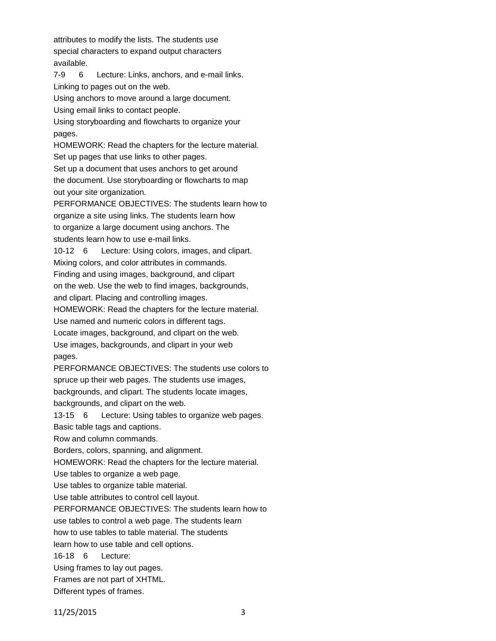attributes to modify the lists. The students use special characters to expand output characters available.

7-9 6 Lecture: Links, anchors, and e-mail links. Linking to pages out on the web.

Using anchors to move around a large document.

Using email links to contact people.

Using storyboarding and flowcharts to organize your pages.

HOMEWORK: Read the chapters for the lecture material. Set up pages that use links to other pages.

Set up a document that uses anchors to get around the document. Use storyboarding or flowcharts to map out your site organization.

PERFORMANCE OBJECTIVES: The students learn how to organize a site using links. The students learn how to organize a large document using anchors. The students learn how to use e-mail links.

10-12 6 Lecture: Using colors, images, and clipart. Mixing colors, and color attributes in commands.

Finding and using images, background, and clipart

on the web. Use the web to find images, backgrounds,

and clipart. Placing and controlling images.

HOMEWORK: Read the chapters for the lecture material.

Use named and numeric colors in different tags.

Locate images, background, and clipart on the web.

Use images, backgrounds, and clipart in your web pages.

PERFORMANCE OBJECTIVES: The students use colors to spruce up their web pages. The students use images, backgrounds, and clipart. The students locate images, backgrounds, and clipart on the web.

13-15 6 Lecture: Using tables to organize web pages.

Basic table tags and captions.

Row and column commands.

Borders, colors, spanning, and alignment.

HOMEWORK: Read the chapters for the lecture material.

Use tables to organize a web page.

Use tables to organize table material.

Use table attributes to control cell layout.

PERFORMANCE OBJECTIVES: The students learn how to

use tables to control a web page. The students learn

how to use tables to table material. The students

learn how to use table and cell options.

16-18 6 Lecture:

Using frames to lay out pages.

Frames are not part of XHTML.

Different types of frames.

11/25/2015 3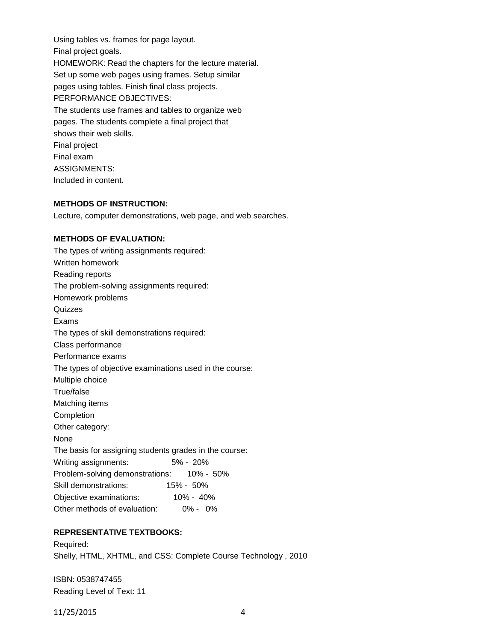Using tables vs. frames for page layout. Final project goals. HOMEWORK: Read the chapters for the lecture material. Set up some web pages using frames. Setup similar pages using tables. Finish final class projects. PERFORMANCE OBJECTIVES: The students use frames and tables to organize web pages. The students complete a final project that shows their web skills. Final project Final exam ASSIGNMENTS: Included in content.

#### **METHODS OF INSTRUCTION:**

Lecture, computer demonstrations, web page, and web searches.

#### **METHODS OF EVALUATION:**

The types of writing assignments required: Written homework Reading reports The problem-solving assignments required: Homework problems **Quizzes** Exams The types of skill demonstrations required: Class performance Performance exams The types of objective examinations used in the course: Multiple choice True/false Matching items Completion Other category: None The basis for assigning students grades in the course: Writing assignments: 5% - 20% Problem-solving demonstrations: 10% - 50% Skill demonstrations: 15% - 50% Objective examinations: 10% - 40% Other methods of evaluation: 0% - 0%

# **REPRESENTATIVE TEXTBOOKS:**

Required: Shelly, HTML, XHTML, and CSS: Complete Course Technology , 2010

ISBN: 0538747455 Reading Level of Text: 11

11/25/2015 4